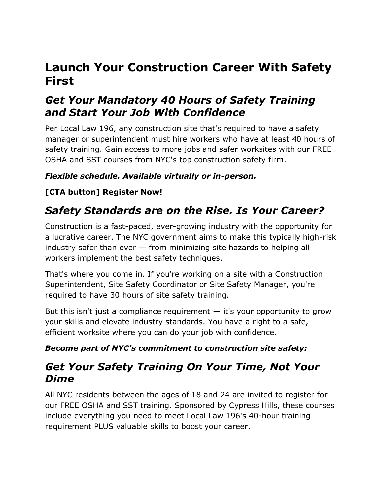# **Launch Your Construction Career With Safety First**

### *Get Your Mandatory 40 Hours of Safety Training and Start Your Job With Confidence*

Per Local Law 196, any construction site that's required to have a safety manager or superintendent must hire workers who have at least 40 hours of safety training. Gain access to more jobs and safer worksites with our FREE OSHA and SST courses from NYC's top construction safety firm.

#### *Flexible schedule. Available virtually or in-person.*

#### **[CTA button] Register Now!**

## *Safety Standards are on the Rise. Is Your Career?*

Construction is a fast-paced, ever-growing industry with the opportunity for a lucrative career. The NYC government aims to make this typically high-risk industry safer than ever — from minimizing site hazards to helping all workers implement the best safety techniques.

That's where you come in. If you're working on a site with a Construction Superintendent, Site Safety Coordinator or Site Safety Manager, you're required to have 30 hours of site safety training.

But this isn't just a compliance requirement  $-$  it's your opportunity to grow your skills and elevate industry standards. You have a right to a safe, efficient worksite where you can do your job with confidence.

#### *Become part of NYC's commitment to construction site safety:*

### *Get Your Safety Training On Your Time, Not Your Dime*

All NYC residents between the ages of 18 and 24 are invited to register for our FREE OSHA and SST training. Sponsored by Cypress Hills, these courses include everything you need to meet Local Law 196's 40-hour training requirement PLUS valuable skills to boost your career.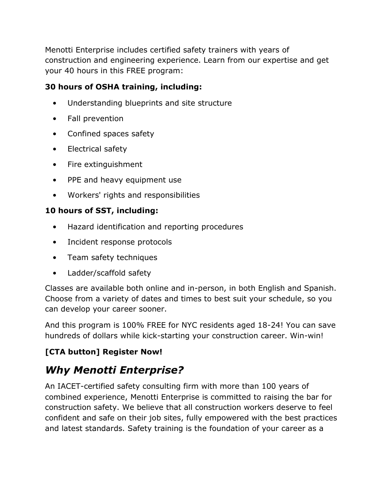Menotti Enterprise includes certified safety trainers with years of construction and engineering experience. Learn from our expertise and get your 40 hours in this FREE program:

#### **30 hours of OSHA training, including:**

- Understanding blueprints and site structure
- Fall prevention
- Confined spaces safety
- Electrical safety
- Fire extinguishment
- PPE and heavy equipment use
- Workers' rights and responsibilities

#### **10 hours of SST, including:**

- Hazard identification and reporting procedures
- Incident response protocols
- Team safety techniques
- Ladder/scaffold safety

Classes are available both online and in-person, in both English and Spanish. Choose from a variety of dates and times to best suit your schedule, so you can develop your career sooner.

And this program is 100% FREE for NYC residents aged 18-24! You can save hundreds of dollars while kick-starting your construction career. Win-win!

### **[CTA button] Register Now!**

# *Why Menotti Enterprise?*

An IACET-certified safety consulting firm with more than 100 years of combined experience, Menotti Enterprise is committed to raising the bar for construction safety. We believe that all construction workers deserve to feel confident and safe on their job sites, fully empowered with the best practices and latest standards. Safety training is the foundation of your career as a